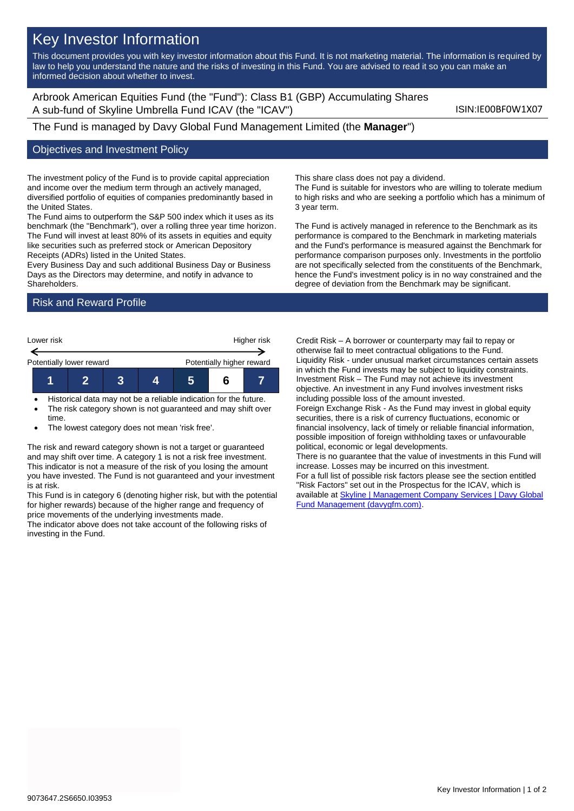# Key Investor Information

This document provides you with key investor information about this Fund. It is not marketing material. The information is required by law to help you understand the nature and the risks of investing in this Fund. You are advised to read it so you can make an informed decision about whether to invest.

Arbrook American Equities Fund (the "Fund"): Class B1 (GBP) Accumulating Shares A sub-fund of Skyline Umbrella Fund ICAV (the "ICAV") ISIN:IE00BF0W1X07

The Fund is managed by Davy Global Fund Management Limited (the **Manager**")

#### Objectives and Investment Policy

The investment policy of the Fund is to provide capital appreciation and income over the medium term through an actively managed, diversified portfolio of equities of companies predominantly based in the United States.

The Fund aims to outperform the S&P 500 index which it uses as its benchmark (the "Benchmark"), over a rolling three year time horizon. The Fund will invest at least 80% of its assets in equities and equity like securities such as preferred stock or American Depository Receipts (ADRs) listed in the United States.

Every Business Day and such additional Business Day or Business Days as the Directors may determine, and notify in advance to Shareholders.

### Risk and Reward Profile



- Historical data may not be a reliable indication for the future.
- The risk category shown is not guaranteed and may shift over time.
- The lowest category does not mean 'risk free'.

The risk and reward category shown is not a target or guaranteed and may shift over time. A category 1 is not a risk free investment. This indicator is not a measure of the risk of you losing the amount you have invested. The Fund is not guaranteed and your investment is at risk.

This Fund is in category 6 (denoting higher risk, but with the potential for higher rewards) because of the higher range and frequency of price movements of the underlying investments made.

The indicator above does not take account of the following risks of investing in the Fund.

This share class does not pay a dividend.

The Fund is suitable for investors who are willing to tolerate medium to high risks and who are seeking a portfolio which has a minimum of 3 year term.

The Fund is actively managed in reference to the Benchmark as its performance is compared to the Benchmark in marketing materials and the Fund's performance is measured against the Benchmark for performance comparison purposes only. Investments in the portfolio are not specifically selected from the constituents of the Benchmark, hence the Fund's investment policy is in no way constrained and the degree of deviation from the Benchmark may be significant.

Credit Risk – A borrower or counterparty may fail to repay or otherwise fail to meet contractual obligations to the Fund. Liquidity Risk - under unusual market circumstances certain assets in which the Fund invests may be subject to liquidity constraints. Investment Risk – The Fund may not achieve its investment objective. An investment in any Fund involves investment risks including possible loss of the amount invested.

Foreign Exchange Risk - As the Fund may invest in global equity securities, there is a risk of currency fluctuations, economic or financial insolvency, lack of timely or reliable financial information, possible imposition of foreign withholding taxes or unfavourable political, economic or legal developments.

There is no guarantee that the value of investments in this Fund will increase. Losses may be incurred on this investment.

For a full list of possible risk factors please see the section entitled "Risk Factors" set out in the Prospectus for the ICAV, which is available a[t Skyline | Management Company Services | Davy Global](https://www.davygfm.com/funds-factsheets/management-company-services/ireland/skyline.html)  [Fund Management \(davygfm.com\).](https://www.davygfm.com/funds-factsheets/management-company-services/ireland/skyline.html)